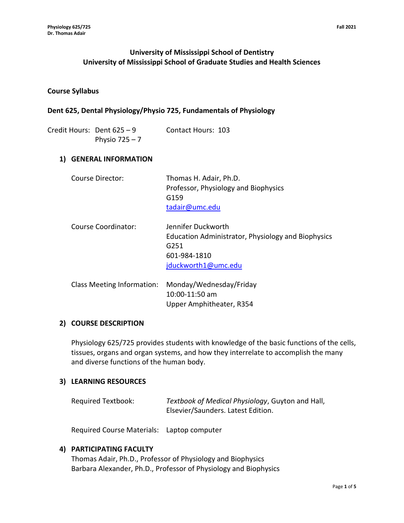# **University of Mississippi School of Dentistry University of Mississippi School of Graduate Studies and Health Sciences**

#### **Course Syllabus**

#### **Dent 625, Dental Physiology/Physio 725, Fundamentals of Physiology**

| Credit Hours: Dent 625 - 9 | Contact Hours: 103 |  |
|----------------------------|--------------------|--|
| Physio $725 - 7$           |                    |  |

#### **1) GENERAL INFORMATION**

| Course Director:           | Thomas H. Adair, Ph.D.<br>Professor, Physiology and Biophysics<br>G159<br>tadair@umc.edu                                            |
|----------------------------|-------------------------------------------------------------------------------------------------------------------------------------|
| Course Coordinator:        | Jennifer Duckworth<br>Education Administrator, Physiology and Biophysics<br>G <sub>251</sub><br>601-984-1810<br>jduckworth1@umc.edu |
| Class Meeting Information: | Monday/Wednesday/Friday<br>10:00-11:50 am                                                                                           |

### **2) COURSE DESCRIPTION**

Physiology 625/725 provides students with knowledge of the basic functions of the cells, tissues, organs and organ systems, and how they interrelate to accomplish the many and diverse functions of the human body.

Upper Amphitheater, R354

#### **3) LEARNING RESOURCES**

| Required Textbook: | Textbook of Medical Physiology, Guyton and Hall, |  |
|--------------------|--------------------------------------------------|--|
|                    | Elsevier/Saunders. Latest Edition.               |  |

Required Course Materials: Laptop computer

#### **4) PARTICIPATING FACULTY**

Thomas Adair, Ph.D., Professor of Physiology and Biophysics Barbara Alexander, Ph.D., Professor of Physiology and Biophysics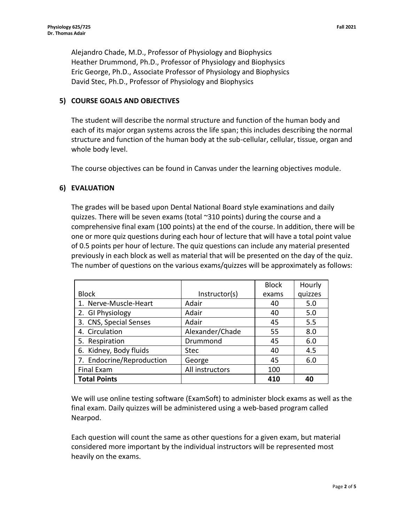Alejandro Chade, M.D., Professor of Physiology and Biophysics Heather Drummond, Ph.D., Professor of Physiology and Biophysics Eric George, Ph.D., Associate Professor of Physiology and Biophysics David Stec, Ph.D., Professor of Physiology and Biophysics

### **5) COURSE GOALS AND OBJECTIVES**

The student will describe the normal structure and function of the human body and each of its major organ systems across the life span; this includes describing the normal structure and function of the human body at the sub-cellular, cellular, tissue, organ and whole body level.

The course objectives can be found in Canvas under the learning objectives module.

### **6) EVALUATION**

The grades will be based upon Dental National Board style examinations and daily quizzes. There will be seven exams (total ~310 points) during the course and a comprehensive final exam (100 points) at the end of the course. In addition, there will be one or more quiz questions during each hour of lecture that will have a total point value of 0.5 points per hour of lecture. The quiz questions can include any material presented previously in each block as well as material that will be presented on the day of the quiz. The number of questions on the various exams/quizzes will be approximately as follows:

|                           |                 | <b>Block</b> | Hourly  |
|---------------------------|-----------------|--------------|---------|
| <b>Block</b>              | Instructor(s)   | exams        | quizzes |
| 1. Nerve-Muscle-Heart     | Adair           | 40           | 5.0     |
| 2. GI Physiology          | Adair           | 40           | 5.0     |
| 3. CNS, Special Senses    | Adair           | 45           | 5.5     |
| 4. Circulation            | Alexander/Chade | 55           | 8.0     |
| 5. Respiration            | Drummond        | 45           | 6.0     |
| 6. Kidney, Body fluids    | <b>Stec</b>     | 40           | 4.5     |
| 7. Endocrine/Reproduction | George          | 45           | 6.0     |
| <b>Final Exam</b>         | All instructors | 100          |         |
| <b>Total Points</b>       |                 | 410          | 40      |

We will use online testing software (ExamSoft) to administer block exams as well as the final exam. Daily quizzes will be administered using a web-based program called Nearpod.

Each question will count the same as other questions for a given exam, but material considered more important by the individual instructors will be represented most heavily on the exams.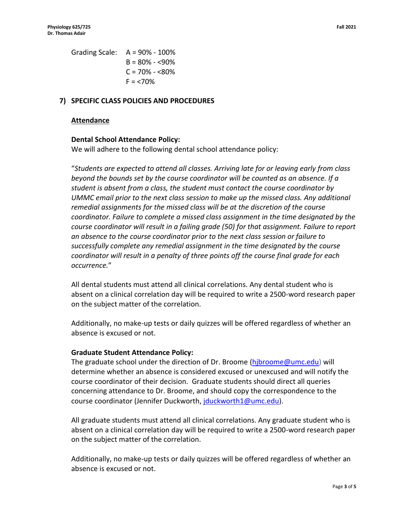Grading Scale: A = 90% - 100%  $B = 80\% - 590\%$  $C = 70\% - 580\%$  $F = 10\%$ 

#### **7) SPECIFIC CLASS POLICIES AND PROCEDURES**

#### **Attendance**

#### **Dental School Attendance Policy:**

We will adhere to the following dental school attendance policy:

"*Students are expected to attend all classes. Arriving late for or leaving early from class beyond the bounds set by the course coordinator will be counted as an absence. If a student is absent from a class, the student must contact the course coordinator by UMMC email prior to the next class session to make up the missed class. Any additional remedial assignments for the missed class will be at the discretion of the course coordinator. Failure to complete a missed class assignment in the time designated by the course coordinator will result in a failing grade (50) for that assignment. Failure to report an absence to the course coordinator prior to the next class session or failure to successfully complete any remedial assignment in the time designated by the course coordinator will result in a penalty of three points off the course final grade for each occurrence.*"

All dental students must attend all clinical correlations. Any dental student who is absent on a clinical correlation day will be required to write a 2500-word research paper on the subject matter of the correlation.

Additionally, no make-up tests or daily quizzes will be offered regardless of whether an absence is excused or not.

#### **Graduate Student Attendance Policy:**

The graduate school under the direction of Dr. Broome [\(hjbroome@umc.edu\)](mailto:hjbroome@umc.edu) will determine whether an absence is considered excused or unexcused and will notify the course coordinator of their decision. Graduate students should direct all queries concerning attendance to Dr. Broome, and should copy the correspondence to the course coordinator (Jennifer Duckworth, [jduckworth1@umc.edu\)](mailto:jduckworth1@umc.edu).

All graduate students must attend all clinical correlations. Any graduate student who is absent on a clinical correlation day will be required to write a 2500-word research paper on the subject matter of the correlation.

Additionally, no make-up tests or daily quizzes will be offered regardless of whether an absence is excused or not.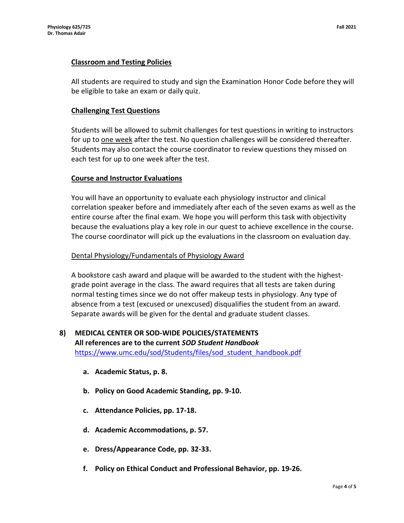## **Classroom and Testing Policies**

All students are required to study and sign the Examination Honor Code before they will be eligible to take an exam or daily quiz.

## **Challenging Test Questions**

Students will be allowed to submit challenges for test questions in writing to instructors for up to one week after the test. No question challenges will be considered thereafter. Students may also contact the course coordinator to review questions they missed on each test for up to one week after the test.

### **Course and Instructor Evaluations**

You will have an opportunity to evaluate each physiology instructor and clinical correlation speaker before and immediately after each of the seven exams as well as the entire course after the final exam. We hope you will perform this task with objectivity because the evaluations play a key role in our quest to achieve excellence in the course. The course coordinator will pick up the evaluations in the classroom on evaluation day.

### Dental Physiology/Fundamentals of Physiology Award

A bookstore cash award and plaque will be awarded to the student with the highestgrade point average in the class. The award requires that all tests are taken during normal testing times since we do not offer makeup tests in physiology. Any type of absence from a test (excused or unexcused) disqualifies the student from an award. Separate awards will be given for the dental and graduate student classes.

### **8) MEDICAL CENTER OR SOD-WIDE POLICIES/STATEMENTS All references are to the current** *SOD Student Handbook* [https://www.umc.edu/sod/Students/files/sod\\_student\\_handbook.pdf](https://www.umc.edu/sod/Students/files/sod_student_handbook.pdf)

- **a. Academic Status, p. 8.**
- **b. Policy on Good Academic Standing, pp. 9-10.**
- **c. Attendance Policies, pp. 17-18.**
- **d. Academic Accommodations, p. 57.**
- **e. Dress/Appearance Code, pp. 32-33.**
- **f. Policy on Ethical Conduct and Professional Behavior, pp. 19-26.**